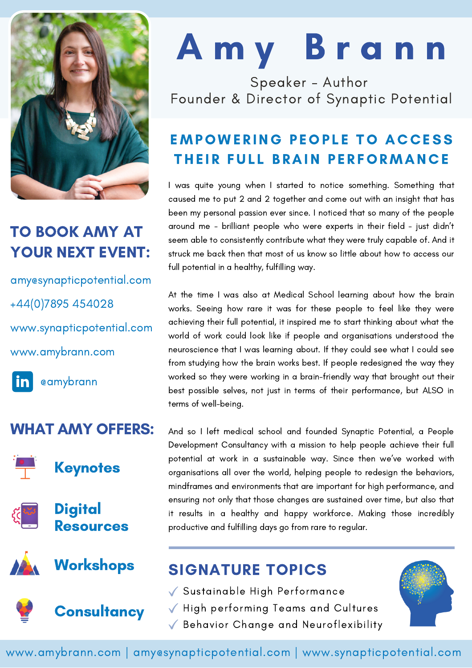

## TO BOOK AMY AT YOUR NEXT EVENT:

[www.amybrann.com](http://www.amybrann.com/) amy@synapticpotential.com [www.synapticpotential.com](http://www.synapticpotential.com/) +44(0)7895 454028

in l [@amybrann](https://www.linkedin.com/in/amybrann/)

#### WHAT AMY OFFERS:





**Digital** Resources





# A m y B r a n n

Speaker - Author Founder & Director of Synaptic Potential

## **EMPOWERING PEOPLE TO ACCESS** THEIR FULL BRAIN PERFORMANCE

I was quite young when I started to notice something. Something that caused me to put 2 and 2 together and come out with an insight that has been my personal passion ever since. I noticed that so many of the people around me - brilliant people who were experts in their field - just didn't seem able to consistently contribute what they were truly capable of. And it struck me back then that most of us know so little about how to access our full potential in a healthy, fulfilling way.

At the time I was also at Medical School learning about how the brain works. Seeing how rare it was for these people to feel like they were achieving their full potential, it inspired me to start thinking about what the world of work could look like if people and organisations understood the neuroscience that I was learning about. If they could see what I could see from studying how the brain works best. If people redesigned the way they worked so they were working in a brain-friendly way that brought out their best possible selves, not just in terms of their performance, but ALSO in terms of well-being.

And so I left medical school and founded Synaptic Potential, a People Development Consultancy with a mission to help people achieve their full potential at work in a sustainable way. Since then we've worked with organisations all over the world, helping people to redesign the behaviors, mindframes and environments that are important for high performance, and ensuring not only that those changes are sustained over time, but also that it results in a healthy and happy workforce. Making those incredibly productive and fulfilling days go from rare to regular.

# Workshops SIGNATURE TOPICS

- Sustainable High Performance
- $\sqrt{\phantom{a}}$  High performing Teams and Cultures
- Behavior Change and Neuroflexibility



www.amybrann.com | amy@synapticpotential.com | www.synapticpotential.com